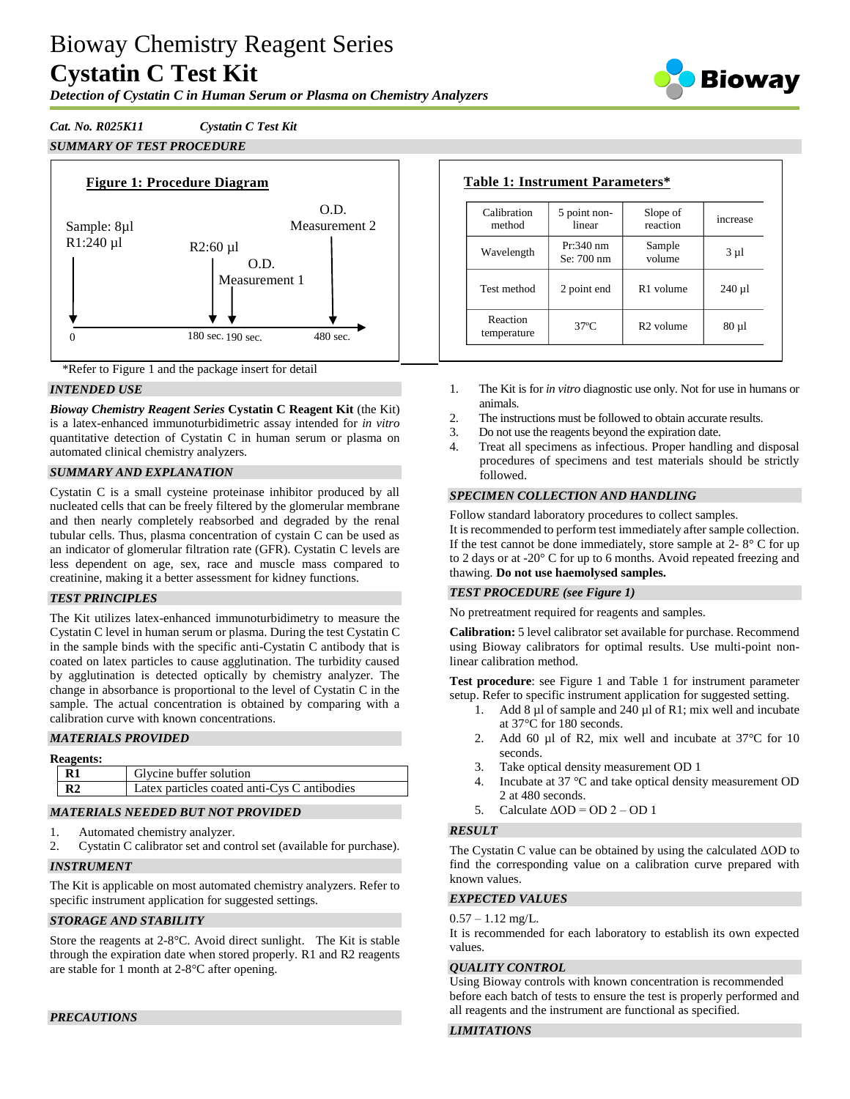# Bioway Chemistry Reagent Series **Cystatin C Test Kit**

Biowav

# *Detection of Cystatin C in Human Serum or Plasma on Chemistry Analyzers*

*Cat. No. R025K11 Cystatin C Test Kit SUMMARY OF TEST PROCEDURE*





# *INTENDED USE*

*Bioway Chemistry Reagent Series* **Cystatin C Reagent Kit** (the Kit) is a latex-enhanced immunoturbidimetric assay intended for *in vitro* quantitative detection of Cystatin C in human serum or plasma on automated clinical chemistry analyzers.

# *SUMMARY AND EXPLANATION*

Cystatin C is a small cysteine proteinase inhibitor produced by all nucleated cells that can be freely filtered by the glomerular membrane and then nearly completely reabsorbed and degraded by the renal tubular cells. Thus, plasma concentration of cystain C can be used as an indicator of glomerular filtration rate (GFR). Cystatin C levels are less dependent on age, sex, race and muscle mass compared to creatinine, making it a better assessment for kidney functions.

# *TEST PRINCIPLES*

The Kit utilizes latex-enhanced immunoturbidimetry to measure the Cystatin C level in human serum or plasma. During the test Cystatin C in the sample binds with the specific anti-Cystatin C antibody that is coated on latex particles to cause agglutination. The turbidity caused by agglutination is detected optically by chemistry analyzer. The change in absorbance is proportional to the level of Cystatin C in the sample. The actual concentration is obtained by comparing with a calibration curve with known concentrations.

# *MATERIALS PROVIDED*

| <b>Reagents:</b> |                |                                              |  |  |  |
|------------------|----------------|----------------------------------------------|--|--|--|
|                  | R <sub>1</sub> | Glycine buffer solution                      |  |  |  |
|                  | R <sub>2</sub> | Latex particles coated anti-Cys C antibodies |  |  |  |

# *MATERIALS NEEDED BUT NOT PROVIDED*

- 1. Automated chemistry analyzer.
- 2. Cystatin C calibrator set and control set (available for purchase).

# *INSTRUMENT*

The Kit is applicable on most automated chemistry analyzers. Refer to specific instrument application for suggested settings.

# *STORAGE AND STABILITY*

Store the reagents at 2-8°C. Avoid direct sunlight. The Kit is stable through the expiration date when stored properly. R1 and R2 reagents are stable for 1 month at 2-8°C after opening.

| <b>Table 1: Instrument Parameters*</b> |                           |                       |            |  |
|----------------------------------------|---------------------------|-----------------------|------------|--|
| Calibration<br>method                  | 5 point non-<br>linear    | Slope of<br>reaction  | increase   |  |
| Wavelength                             | $Pr:340$ nm<br>Se: 700 nm | Sample<br>volume      | $3 \mu l$  |  |
| Test method                            | 2 point end               | R <sub>1</sub> volume | $240 \mu$  |  |
| Reaction<br>temperature                | $37^\circ$ C              | R <sub>2</sub> volume | $80 \mu l$ |  |

- 1. The Kit is for *in vitro* diagnostic use only. Not for use in humans or animals.
- 2. The instructions must be followed to obtain accurate results.
- 3. Do not use the reagents beyond the expiration date.
- 4. Treat all specimens as infectious. Proper handling and disposal procedures of specimens and test materials should be strictly followed.

# *SPECIMEN COLLECTION AND HANDLING*

Follow standard laboratory procedures to collect samples.

It is recommended to perform test immediately after sample collection. If the test cannot be done immediately, store sample at  $2 - 8^\circ$  C for up to 2 days or at -20° C for up to 6 months. Avoid repeated freezing and thawing. **Do not use haemolysed samples.**

# *TEST PROCEDURE (see Figure 1)*

No pretreatment required for reagents and samples.

**Calibration:** 5 level calibrator set available for purchase. Recommend using Bioway calibrators for optimal results. Use multi-point nonlinear calibration method.

**Test procedure**: see Figure 1 and Table 1 for instrument parameter setup. Refer to specific instrument application for suggested setting.

- Add 8  $\mu$ l of sample and 240  $\mu$ l of R1; mix well and incubate at 37°C for 180 seconds.
- 2. Add 60 µl of R2, mix well and incubate at 37 °C for 10 seconds.
- 3. Take optical density measurement OD 1
- 4. Incubate at 37 °C and take optical density measurement OD 2 at 480 seconds.
- 5. Calculate  $\triangle$ OD = OD 2 OD 1

# *RESULT*

The Cystatin C value can be obtained by using the calculated ΔOD to find the corresponding value on a calibration curve prepared with known values.

# *EXPECTED VALUES*

#### $0.57 - 1.12$  mg/L.

It is recommended for each laboratory to establish its own expected values.

### *QUALITY CONTROL*

Using Bioway controls with known concentration is recommended before each batch of tests to ensure the test is properly performed and all reagents and the instrument are functional as specified.

## *LIMITATIONS*